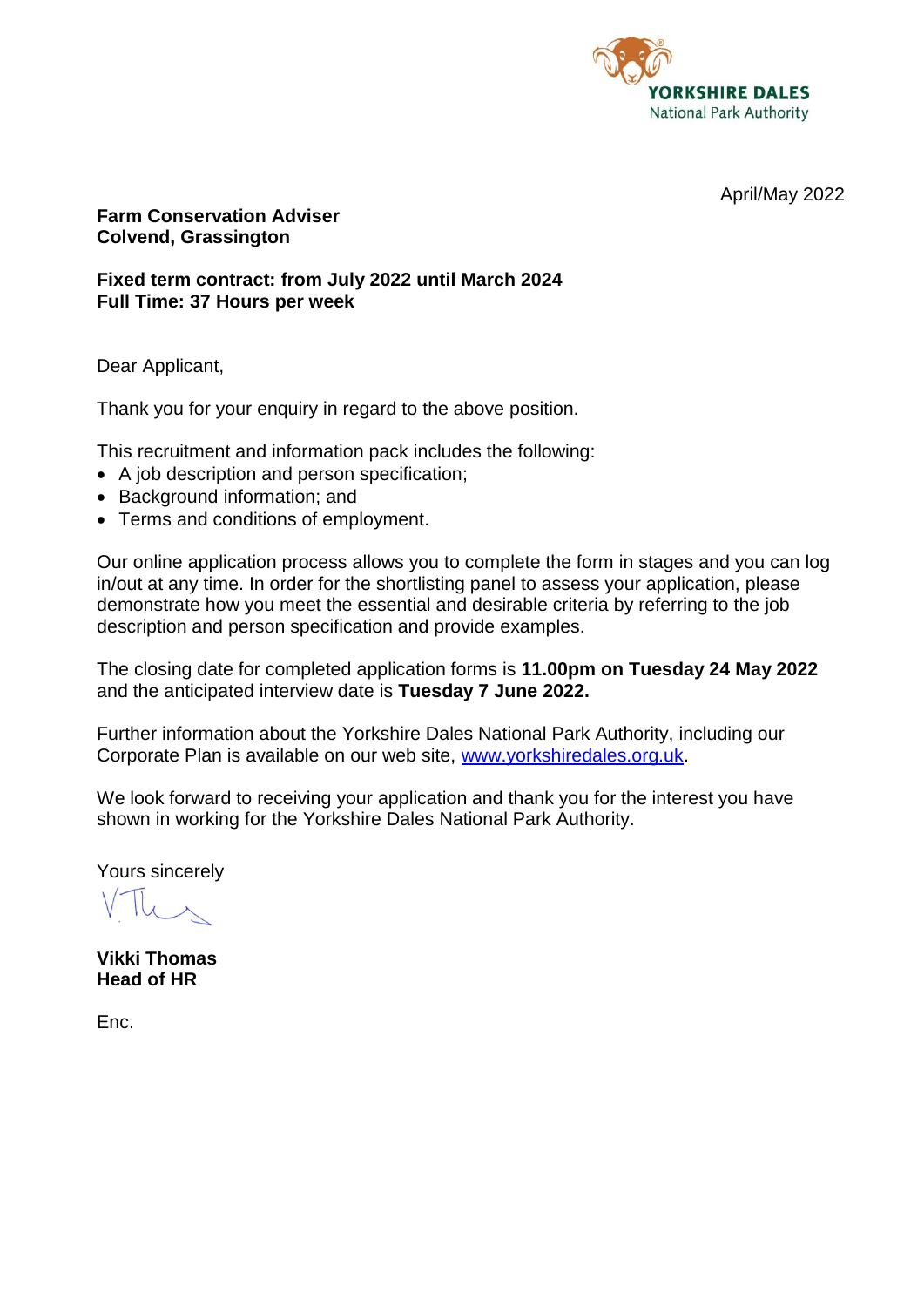

April/May 2022

#### **Farm Conservation Adviser Colvend, Grassington**

**Fixed term contract: from July 2022 until March 2024 Full Time: 37 Hours per week**

Dear Applicant,

Thank you for your enquiry in regard to the above position.

This recruitment and information pack includes the following:

- A job description and person specification;
- Background information; and
- Terms and conditions of employment.

Our online application process allows you to complete the form in stages and you can log in/out at any time. In order for the shortlisting panel to assess your application, please demonstrate how you meet the essential and desirable criteria by referring to the job description and person specification and provide examples.

The closing date for completed application forms is **11.00pm on Tuesday 24 May 2022** and the anticipated interview date is **Tuesday 7 June 2022.**

Further information about the Yorkshire Dales National Park Authority, including our Corporate Plan is available on our web site, [www.yorkshiredales.org.uk.](http://www.yorkshiredales.org.uk/)

We look forward to receiving your application and thank you for the interest you have shown in working for the Yorkshire Dales National Park Authority.

Yours sincerely

**Vikki Thomas Head of HR**

Enc.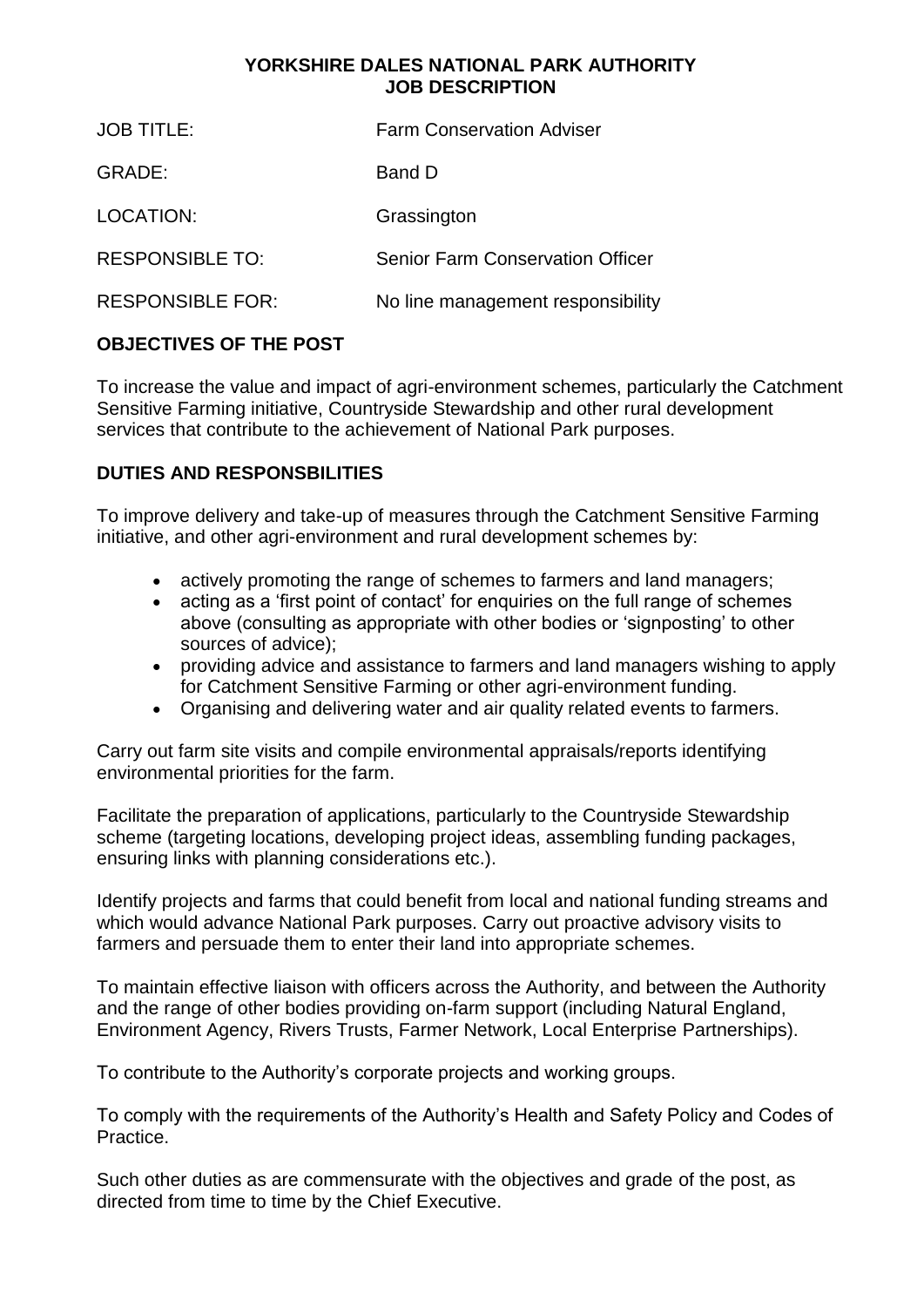## **YORKSHIRE DALES NATIONAL PARK AUTHORITY JOB DESCRIPTION**

| <b>JOB TITLE:</b>       | <b>Farm Conservation Adviser</b>        |
|-------------------------|-----------------------------------------|
| GRADE:                  | Band D                                  |
| LOCATION:               | Grassington                             |
| <b>RESPONSIBLE TO:</b>  | <b>Senior Farm Conservation Officer</b> |
| <b>RESPONSIBLE FOR:</b> | No line management responsibility       |

# **OBJECTIVES OF THE POST**

To increase the value and impact of agri-environment schemes, particularly the Catchment Sensitive Farming initiative, Countryside Stewardship and other rural development services that contribute to the achievement of National Park purposes.

# **DUTIES AND RESPONSBILITIES**

To improve delivery and take-up of measures through the Catchment Sensitive Farming initiative, and other agri-environment and rural development schemes by:

- actively promoting the range of schemes to farmers and land managers;
- acting as a 'first point of contact' for enquiries on the full range of schemes above (consulting as appropriate with other bodies or 'signposting' to other sources of advice);
- providing advice and assistance to farmers and land managers wishing to apply for Catchment Sensitive Farming or other agri-environment funding.
- Organising and delivering water and air quality related events to farmers.

Carry out farm site visits and compile environmental appraisals/reports identifying environmental priorities for the farm.

Facilitate the preparation of applications, particularly to the Countryside Stewardship scheme (targeting locations, developing project ideas, assembling funding packages, ensuring links with planning considerations etc.).

Identify projects and farms that could benefit from local and national funding streams and which would advance National Park purposes. Carry out proactive advisory visits to farmers and persuade them to enter their land into appropriate schemes.

To maintain effective liaison with officers across the Authority, and between the Authority and the range of other bodies providing on-farm support (including Natural England, Environment Agency, Rivers Trusts, Farmer Network, Local Enterprise Partnerships).

To contribute to the Authority's corporate projects and working groups.

To comply with the requirements of the Authority's Health and Safety Policy and Codes of Practice.

Such other duties as are commensurate with the objectives and grade of the post, as directed from time to time by the Chief Executive.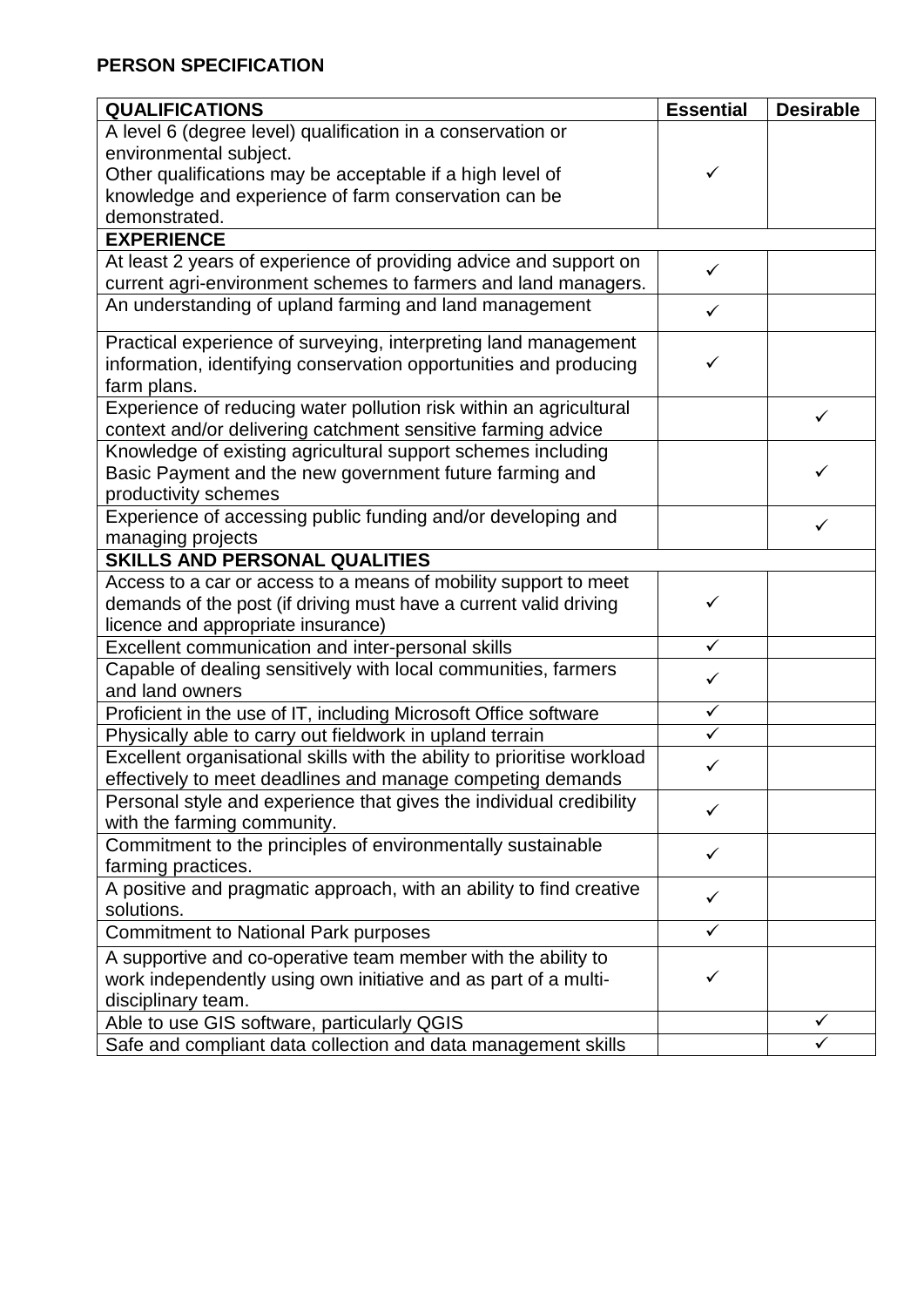# **PERSON SPECIFICATION**

| <b>QUALIFICATIONS</b>                                                   | <b>Essential</b> | <b>Desirable</b> |
|-------------------------------------------------------------------------|------------------|------------------|
| A level 6 (degree level) qualification in a conservation or             |                  |                  |
| environmental subject.                                                  |                  |                  |
| Other qualifications may be acceptable if a high level of               |                  |                  |
| knowledge and experience of farm conservation can be                    |                  |                  |
| demonstrated.                                                           |                  |                  |
| <b>EXPERIENCE</b>                                                       |                  |                  |
| At least 2 years of experience of providing advice and support on       | $\checkmark$     |                  |
| current agri-environment schemes to farmers and land managers.          |                  |                  |
| An understanding of upland farming and land management                  |                  |                  |
| Practical experience of surveying, interpreting land management         |                  |                  |
| information, identifying conservation opportunities and producing       | ✓                |                  |
| farm plans.                                                             |                  |                  |
| Experience of reducing water pollution risk within an agricultural      |                  | $\checkmark$     |
| context and/or delivering catchment sensitive farming advice            |                  |                  |
| Knowledge of existing agricultural support schemes including            |                  |                  |
| Basic Payment and the new government future farming and                 |                  | ✓                |
| productivity schemes                                                    |                  |                  |
| Experience of accessing public funding and/or developing and            |                  | ✓                |
| managing projects                                                       |                  |                  |
| <b>SKILLS AND PERSONAL QUALITIES</b>                                    |                  |                  |
| Access to a car or access to a means of mobility support to meet        |                  |                  |
| demands of the post (if driving must have a current valid driving       | ✓                |                  |
| licence and appropriate insurance)                                      |                  |                  |
| Excellent communication and inter-personal skills                       | $\checkmark$     |                  |
| Capable of dealing sensitively with local communities, farmers          | $\checkmark$     |                  |
| and land owners                                                         |                  |                  |
| Proficient in the use of IT, including Microsoft Office software        | $\checkmark$     |                  |
| Physically able to carry out fieldwork in upland terrain                |                  |                  |
| Excellent organisational skills with the ability to prioritise workload | ✓                |                  |
| effectively to meet deadlines and manage competing demands              |                  |                  |
| Personal style and experience that gives the individual credibility     | ✓                |                  |
| with the farming community.                                             |                  |                  |
| Commitment to the principles of environmentally sustainable             | ✓                |                  |
| farming practices.                                                      |                  |                  |
| A positive and pragmatic approach, with an ability to find creative     | ✓                |                  |
| solutions.                                                              |                  |                  |
| <b>Commitment to National Park purposes</b>                             | ✓                |                  |
| A supportive and co-operative team member with the ability to           |                  |                  |
| work independently using own initiative and as part of a multi-         |                  |                  |
| disciplinary team.                                                      |                  |                  |
| Able to use GIS software, particularly QGIS                             |                  |                  |
| Safe and compliant data collection and data management skills           |                  |                  |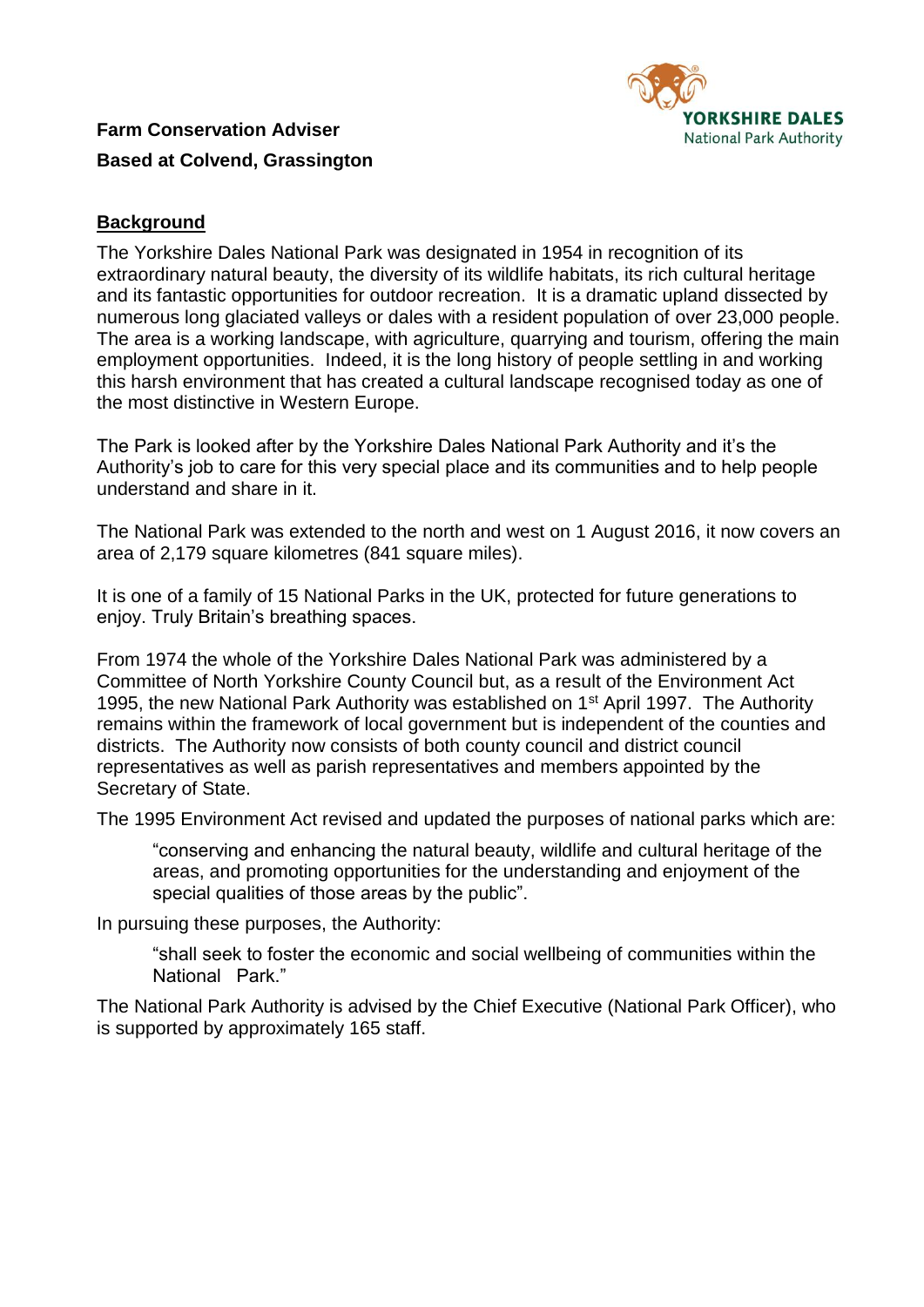

**Farm Conservation Adviser Based at Colvend, Grassington**

# **Background**

The Yorkshire Dales National Park was designated in 1954 in recognition of its extraordinary natural beauty, the diversity of its wildlife habitats, its rich cultural heritage and its fantastic opportunities for outdoor recreation. It is a dramatic upland dissected by numerous long glaciated valleys or dales with a resident population of over 23,000 people. The area is a working landscape, with agriculture, quarrying and tourism, offering the main employment opportunities. Indeed, it is the long history of people settling in and working this harsh environment that has created a cultural landscape recognised today as one of the most distinctive in Western Europe.

The Park is looked after by the Yorkshire Dales National Park Authority and it's the Authority's job to care for this very special place and its communities and to help people understand and share in it.

The National Park was extended to the north and west on 1 August 2016, it now covers an area of 2,179 square kilometres (841 square miles).

It is one of a family of 15 National Parks in the UK, protected for future generations to enjoy. Truly Britain's breathing spaces.

From 1974 the whole of the Yorkshire Dales National Park was administered by a Committee of North Yorkshire County Council but, as a result of the Environment Act 1995, the new National Park Authority was established on 1<sup>st</sup> April 1997. The Authority remains within the framework of local government but is independent of the counties and districts. The Authority now consists of both county council and district council representatives as well as parish representatives and members appointed by the Secretary of State.

The 1995 Environment Act revised and updated the purposes of national parks which are:

"conserving and enhancing the natural beauty, wildlife and cultural heritage of the areas, and promoting opportunities for the understanding and enjoyment of the special qualities of those areas by the public".

In pursuing these purposes, the Authority:

"shall seek to foster the economic and social wellbeing of communities within the National Park."

The National Park Authority is advised by the Chief Executive (National Park Officer), who is supported by approximately 165 staff.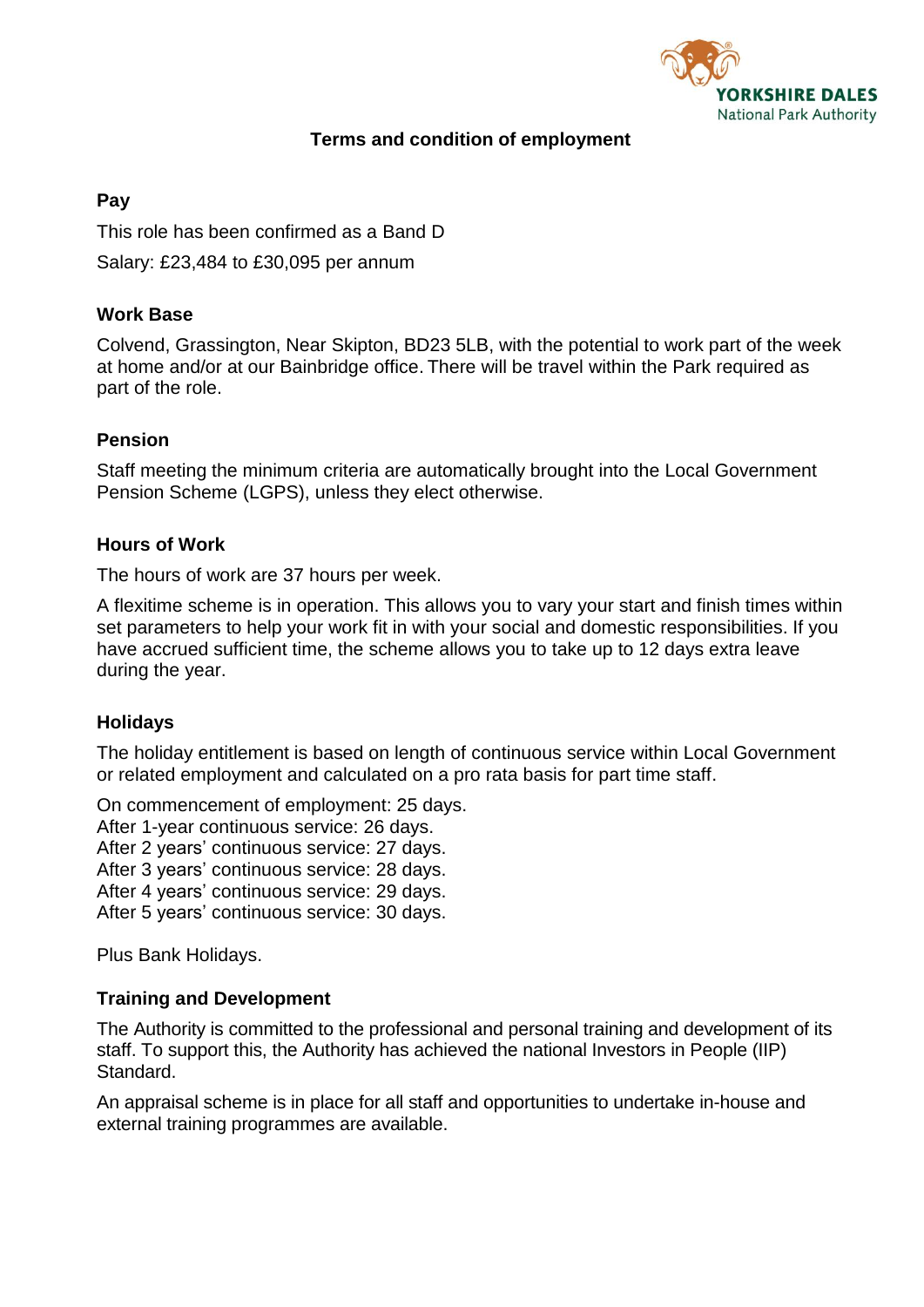

## **Terms and condition of employment**

## **Pay**

This role has been confirmed as a Band D Salary: £23,484 to £30,095 per annum

## **Work Base**

Colvend, Grassington, Near Skipton, BD23 5LB, with the potential to work part of the week at home and/or at our Bainbridge office. There will be travel within the Park required as part of the role.

## **Pension**

Staff meeting the minimum criteria are automatically brought into the Local Government Pension Scheme (LGPS), unless they elect otherwise.

#### **Hours of Work**

The hours of work are 37 hours per week.

A flexitime scheme is in operation. This allows you to vary your start and finish times within set parameters to help your work fit in with your social and domestic responsibilities. If you have accrued sufficient time, the scheme allows you to take up to 12 days extra leave during the year.

#### **Holidays**

The holiday entitlement is based on length of continuous service within Local Government or related employment and calculated on a pro rata basis for part time staff.

On commencement of employment: 25 days.

After 1-year continuous service: 26 days.

After 2 years' continuous service: 27 days.

After 3 years' continuous service: 28 days.

After 4 years' continuous service: 29 days.

After 5 years' continuous service: 30 days.

Plus Bank Holidays.

#### **Training and Development**

The Authority is committed to the professional and personal training and development of its staff. To support this, the Authority has achieved the national Investors in People (IIP) Standard.

An appraisal scheme is in place for all staff and opportunities to undertake in-house and external training programmes are available.